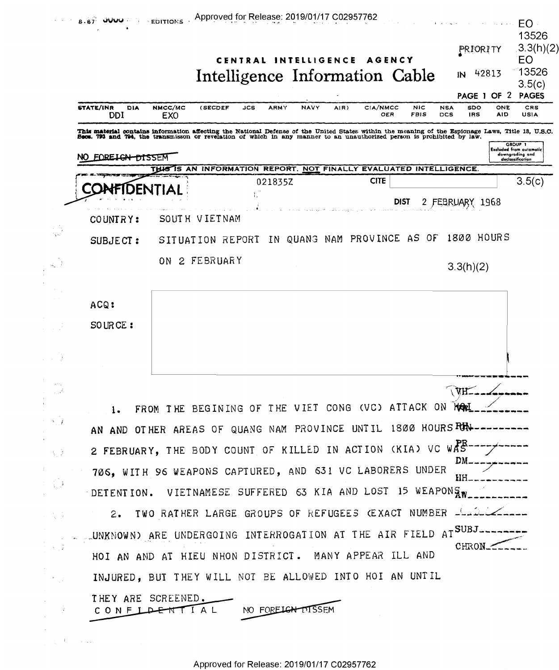|                            | 8-67                                                                                                                                                                                                                                                                                                  |                | Approved for Release: 2019/01/17 C02957762                         |     |                   | CENTRAL INTELLIGENCE |      | AGENCY<br>Intelligence Information Cable |                           |            | PRIORITY<br>ΙN    | 42813      | EO -<br>13526<br>3.3(h)(2)<br>EO<br>13526<br>3.5(c)<br>PAGE 1 OF 2 PAGES         |
|----------------------------|-------------------------------------------------------------------------------------------------------------------------------------------------------------------------------------------------------------------------------------------------------------------------------------------------------|----------------|--------------------------------------------------------------------|-----|-------------------|----------------------|------|------------------------------------------|---------------------------|------------|-------------------|------------|----------------------------------------------------------------------------------|
|                            | <b>STATE/INR</b><br>DIA<br>DDI                                                                                                                                                                                                                                                                        | NMCC/MC<br>EXO | <b>(SECDEF</b>                                                     | JCS | <b>ARMY</b>       | <b>NAVY</b>          | AIR) | <b>CIA/NMCC</b><br>OER                   | <b>NIC</b><br><b>FBIS</b> | NSA<br>DCS | SDO<br><b>IRS</b> | ONE<br>AID | CRS<br><b>USIA</b>                                                               |
|                            | This material contains information affecting the National Defense of the United States within the meaning of the Espionage Laws, Title 18, U.S.C.<br>Secs. 793 and 794, the transmisson or revelation of which in any manner to an unauthorized person is prohibited by law.<br>FOREIGN DISSEM<br>NO. |                | THIS IS AN INFORMATION REPORT. NOT FINALLY EVALUATED INTELLIGENCE. |     |                   |                      |      |                                          |                           |            |                   |            | GROUP 1<br><b>Excluded from automatic</b><br>downgrading and<br>declassification |
|                            |                                                                                                                                                                                                                                                                                                       |                |                                                                    |     | 021835Z           |                      |      | <b>CITE</b>                              |                           |            |                   |            | 3.5(c)                                                                           |
|                            |                                                                                                                                                                                                                                                                                                       |                |                                                                    |     |                   |                      |      |                                          | DIST                      | 2 FEBRUARY |                   | 1968       |                                                                                  |
|                            | COUNTRY:                                                                                                                                                                                                                                                                                              |                | SOUTH VIETNAM                                                      |     |                   |                      |      |                                          |                           |            |                   |            |                                                                                  |
|                            | SUBJECT:                                                                                                                                                                                                                                                                                              |                | SITUATION REPORT                                                   |     | ΙN                |                      |      | QUANG NAM PROVINCE AS OF                 |                           |            | 1800 HOURS        |            |                                                                                  |
|                            |                                                                                                                                                                                                                                                                                                       |                | ON 2 FEBRUARY                                                      |     |                   |                      |      |                                          |                           |            | 3.3(h)(2)         |            |                                                                                  |
|                            | ACQ:                                                                                                                                                                                                                                                                                                  |                |                                                                    |     |                   |                      |      |                                          |                           |            |                   |            |                                                                                  |
|                            | SOURCE:                                                                                                                                                                                                                                                                                               |                |                                                                    |     |                   |                      |      |                                          |                           |            |                   |            |                                                                                  |
|                            |                                                                                                                                                                                                                                                                                                       |                |                                                                    |     |                   |                      |      |                                          |                           |            |                   |            |                                                                                  |
|                            |                                                                                                                                                                                                                                                                                                       |                | FROM THE BEGINING OF THE VIET CONG (VC) ATTACK ON NORL_            |     |                   |                      |      |                                          |                           |            |                   |            |                                                                                  |
| $2 - 4 - 7$                | AN AND OTHER AREAS OF QUANG NAM PROVINCE UNTIL 1800 HOURS RUN---------                                                                                                                                                                                                                                |                |                                                                    |     |                   |                      |      |                                          |                           |            |                   |            |                                                                                  |
| $\lambda_{\rm B}$          | 2 FEBRUARY, THE BODY COUNT OF KILLED IN ACTION (KIA) VC WAS---------                                                                                                                                                                                                                                  |                |                                                                    |     |                   |                      |      |                                          |                           |            |                   |            |                                                                                  |
|                            |                                                                                                                                                                                                                                                                                                       |                |                                                                    |     |                   |                      |      |                                          |                           |            |                   |            |                                                                                  |
| $\mathcal{L}_{\text{max}}$ | 706, WITH 96 WEAPONS CAPTURED, AND 631 VC LABORERS UNDER<br>HH_<br>DETENTION. VIETNAMESE SUFFERED 63 KIA AND LOST 15 WEAPONS WELL                                                                                                                                                                     |                |                                                                    |     |                   |                      |      |                                          |                           |            |                   |            |                                                                                  |
|                            |                                                                                                                                                                                                                                                                                                       |                | 2. TWO RATHER LARGE GROUPS OF REFUGEES (EXACT NUMBER LADICA        |     |                   |                      |      |                                          |                           |            |                   |            |                                                                                  |
|                            | UNKNOWN) ARE UNDERGOING INTERROGATION AT THE AIR FIELD AT SUBJ                                                                                                                                                                                                                                        |                |                                                                    |     |                   |                      |      |                                          |                           |            |                   |            |                                                                                  |
|                            | HOI AN AND AT HIEU NHON DISTRICT. MANY APPEAR ILL AND                                                                                                                                                                                                                                                 |                |                                                                    |     |                   |                      |      |                                          |                           |            | CHRON             |            |                                                                                  |
|                            | INJURED, BUT THEY WILL NOT BE ALLOWED INTO HOI AN UNTIL                                                                                                                                                                                                                                               |                |                                                                    |     |                   |                      |      |                                          |                           |            |                   |            |                                                                                  |
|                            | THEY ARE SCREENED.<br>CONFIDENTIAL                                                                                                                                                                                                                                                                    |                |                                                                    |     | NO FORELGN DISSEM |                      |      |                                          |                           |            |                   |            |                                                                                  |

 $\label{eq:1} \frac{1}{\left(1-\frac{1}{2}\right)^{2}}\left(\frac{1}{2}\right)^{2}=\frac{1}{2}\left(1-\frac{1}{2}\right)\left(\frac{1}{2}\right)^{2}=\frac{1}{2}\left(1-\frac{1}{2}\right)\left(\frac{1}{2}\right)^{2}$